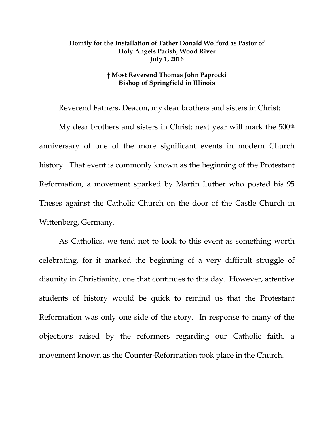## **Homily for the Installation of Father Donald Wolford as Pastor of Holy Angels Parish, Wood River July 1, 2016**

## **† Most Reverend Thomas John Paprocki Bishop of Springfield in Illinois**

Reverend Fathers, Deacon, my dear brothers and sisters in Christ:

My dear brothers and sisters in Christ: next year will mark the 500<sup>th</sup> anniversary of one of the more significant events in modern Church history. That event is commonly known as the beginning of the Protestant Reformation, a movement sparked by Martin Luther who posted his 95 Theses against the Catholic Church on the door of the Castle Church in Wittenberg, Germany.

As Catholics, we tend not to look to this event as something worth celebrating, for it marked the beginning of a very difficult struggle of disunity in Christianity, one that continues to this day. However, attentive students of history would be quick to remind us that the Protestant Reformation was only one side of the story. In response to many of the objections raised by the reformers regarding our Catholic faith, a movement known as the Counter-Reformation took place in the Church.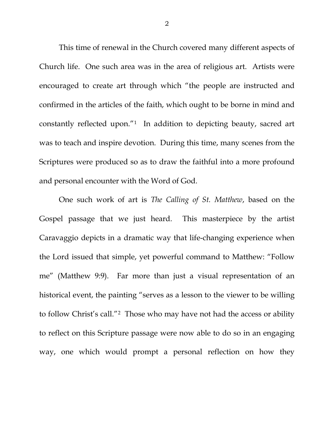This time of renewal in the Church covered many different aspects of Church life. One such area was in the area of religious art. Artists were encouraged to create art through which "the people are instructed and confirmed in the articles of the faith, which ought to be borne in mind and constantly reflected upon."[1](#page-2-0) In addition to depicting beauty, sacred art was to teach and inspire devotion. During this time, many scenes from the Scriptures were produced so as to draw the faithful into a more profound and personal encounter with the Word of God.

One such work of art is *The Calling of St. Matthew*, based on the Gospel passage that we just heard. This masterpiece by the artist Caravaggio depicts in a dramatic way that life-changing experience when the Lord issued that simple, yet powerful command to Matthew: "Follow me" (Matthew 9:9). Far more than just a visual representation of an historical event, the painting "serves as a lesson to the viewer to be willing to follow Christ's call."[2](#page-2-1) Those who may have not had the access or ability to reflect on this Scripture passage were now able to do so in an engaging way, one which would prompt a personal reflection on how they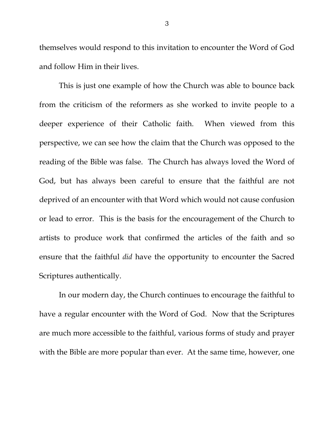themselves would respond to this invitation to encounter the Word of God and follow Him in their lives.

This is just one example of how the Church was able to bounce back from the criticism of the reformers as she worked to invite people to a deeper experience of their Catholic faith. When viewed from this perspective, we can see how the claim that the Church was opposed to the reading of the Bible was false. The Church has always loved the Word of God, but has always been careful to ensure that the faithful are not deprived of an encounter with that Word which would not cause confusion or lead to error. This is the basis for the encouragement of the Church to artists to produce work that confirmed the articles of the faith and so ensure that the faithful *did* have the opportunity to encounter the Sacred Scriptures authentically.

<span id="page-2-5"></span><span id="page-2-4"></span><span id="page-2-3"></span><span id="page-2-2"></span><span id="page-2-1"></span><span id="page-2-0"></span>In our modern day, the Church continues to encourage the faithful to have a regular encounter with the Word of God. Now that the Scriptures are much more accessible to the faithful, various forms of study and prayer with the Bible are more popular than ever. At the same time, however, one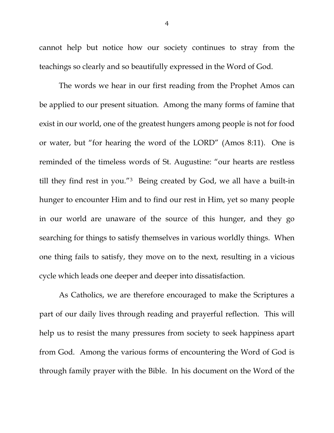cannot help but notice how our society continues to stray from the teachings so clearly and so beautifully expressed in the Word of God.

The words we hear in our first reading from the Prophet Amos can be applied to our present situation. Among the many forms of famine that exist in our world, one of the greatest hungers among people is not for food or water, but "for hearing the word of the LORD" (Amos 8:11). One is reminded of the timeless words of St. Augustine: "our hearts are restless till they find rest in you."[3](#page-2-2) Being created by God, we all have a built-in hunger to encounter Him and to find our rest in Him, yet so many people in our world are unaware of the source of this hunger, and they go searching for things to satisfy themselves in various worldly things. When one thing fails to satisfy, they move on to the next, resulting in a vicious cycle which leads one deeper and deeper into dissatisfaction.

As Catholics, we are therefore encouraged to make the Scriptures a part of our daily lives through reading and prayerful reflection. This will help us to resist the many pressures from society to seek happiness apart from God. Among the various forms of encountering the Word of God is through family prayer with the Bible. In his document on the Word of the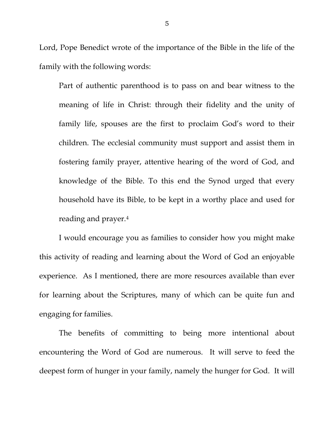Lord, Pope Benedict wrote of the importance of the Bible in the life of the family with the following words:

Part of authentic parenthood is to pass on and bear witness to the meaning of life in Christ: through their fidelity and the unity of family life, spouses are the first to proclaim God's word to their children. The ecclesial community must support and assist them in fostering family prayer, attentive hearing of the word of God, and knowledge of the Bible. To this end the Synod urged that every household have its Bible, to be kept in a worthy place and used for reading and prayer[.4](#page-2-3)

I would encourage you as families to consider how you might make this activity of reading and learning about the Word of God an enjoyable experience. As I mentioned, there are more resources available than ever for learning about the Scriptures, many of which can be quite fun and engaging for families.

The benefits of committing to being more intentional about encountering the Word of God are numerous. It will serve to feed the deepest form of hunger in your family, namely the hunger for God. It will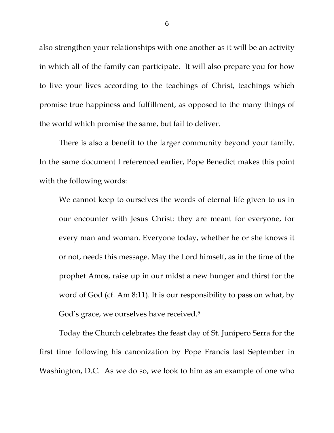also strengthen your relationships with one another as it will be an activity in which all of the family can participate. It will also prepare you for how to live your lives according to the teachings of Christ, teachings which promise true happiness and fulfillment, as opposed to the many things of the world which promise the same, but fail to deliver.

There is also a benefit to the larger community beyond your family. In the same document I referenced earlier, Pope Benedict makes this point with the following words:

We cannot keep to ourselves the words of eternal life given to us in our encounter with Jesus Christ: they are meant for everyone, for every man and woman. Everyone today, whether he or she knows it or not, needs this message. May the Lord himself, as in the time of the prophet Amos, raise up in our midst a new hunger and thirst for the word of God (cf. Am 8:11). It is our responsibility to pass on what, by God's grace, we ourselves have received.<sup>[5](#page-2-4)</sup>

Today the Church celebrates the feast day of St. Junípero Serra for the first time following his canonization by Pope Francis last September in Washington, D.C. As we do so, we look to him as an example of one who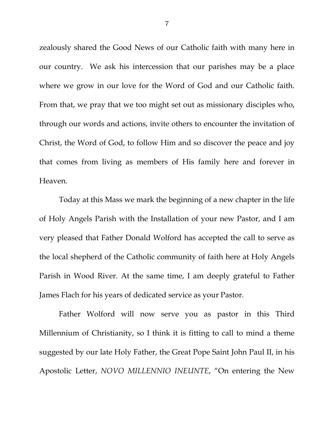zealously shared the Good News of our Catholic faith with many here in our country. We ask his intercession that our parishes may be a place where we grow in our love for the Word of God and our Catholic faith. From that, we pray that we too might set out as missionary disciples who, through our words and actions, invite others to encounter the invitation of Christ, the Word of God, to follow Him and so discover the peace and joy that comes from living as members of His family here and forever in Heaven.

Today at this Mass we mark the beginning of a new chapter in the life of Holy Angels Parish with the Installation of your new Pastor, and I am very pleased that Father Donald Wolford has accepted the call to serve as the local shepherd of the Catholic community of faith here at Holy Angels Parish in Wood River. At the same time, I am deeply grateful to Father James Flach for his years of dedicated service as your Pastor.

Father Wolford will now serve you as pastor in this Third Millennium of Christianity, so I think it is fitting to call to mind a theme suggested by our late Holy Father, the Great Pope Saint John Paul II, in his Apostolic Letter, *NOVO MILLENNIO INEUNTE*, "On entering the New

7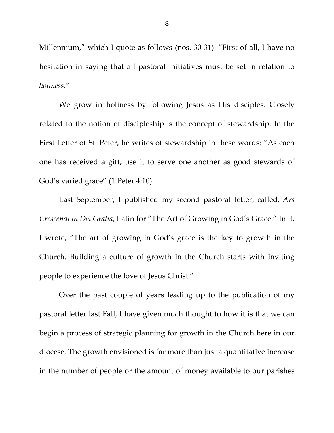Millennium," which I quote as follows (nos. 30-31): "First of all, I have no hesitation in saying that all pastoral initiatives must be set in relation to *holiness*."

We grow in holiness by following Jesus as His disciples. Closely related to the notion of discipleship is the concept of stewardship. In the First Letter of St. Peter, he writes of stewardship in these words: "As each one has received a gift, use it to serve one another as good stewards of God's varied grace" (1 Peter 4:10).

Last September, I published my second pastoral letter, called, *Ars Crescendi in Dei Gratia*, Latin for "The Art of Growing in God's Grace." In it, I wrote, "The art of growing in God's grace is the key to growth in the Church. Building a culture of growth in the Church starts with inviting people to experience the love of Jesus Christ."

Over the past couple of years leading up to the publication of my pastoral letter last Fall, I have given much thought to how it is that we can begin a process of strategic planning for growth in the Church here in our diocese. The growth envisioned is far more than just a quantitative increase in the number of people or the amount of money available to our parishes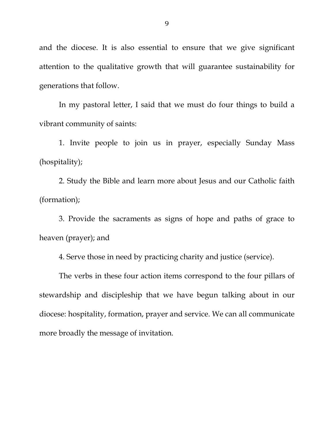and the diocese. It is also essential to ensure that we give significant attention to the qualitative growth that will guarantee sustainability for generations that follow.

In my pastoral letter, I said that we must do four things to build a vibrant community of saints:

1. Invite people to join us in prayer, especially Sunday Mass (hospitality);

2. Study the Bible and learn more about Jesus and our Catholic faith (formation);

3. Provide the sacraments as signs of hope and paths of grace to heaven (prayer); and

4. Serve those in need by practicing charity and justice (service).

The verbs in these four action items correspond to the four pillars of stewardship and discipleship that we have begun talking about in our diocese: hospitality, formation, prayer and service. We can all communicate more broadly the message of invitation.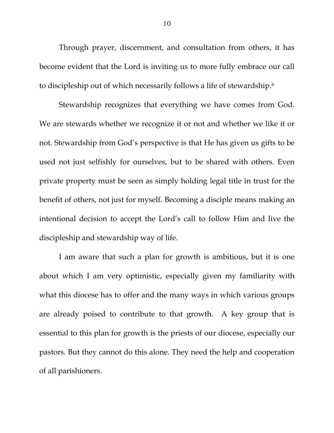Through prayer, discernment, and consultation from others, it has become evident that the Lord is inviting us to more fully embrace our call to discipleship out of which necessarily follows a life of stewardship.[6](#page-2-5) 

Stewardship recognizes that everything we have comes from God. We are stewards whether we recognize it or not and whether we like it or not. Stewardship from God's perspective is that He has given us gifts to be used not just selfishly for ourselves, but to be shared with others. Even private property must be seen as simply holding legal title in trust for the benefit of others, not just for myself. Becoming a disciple means making an intentional decision to accept the Lord's call to follow Him and live the discipleship and stewardship way of life.

I am aware that such a plan for growth is ambitious, but it is one about which I am very optimistic, especially given my familiarity with what this diocese has to offer and the many ways in which various groups are already poised to contribute to that growth. A key group that is essential to this plan for growth is the priests of our diocese, especially our pastors. But they cannot do this alone. They need the help and cooperation of all parishioners.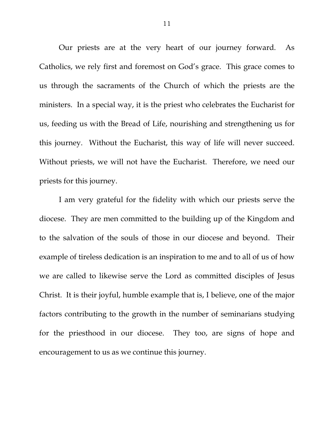Our priests are at the very heart of our journey forward. As Catholics, we rely first and foremost on God's grace. This grace comes to us through the sacraments of the Church of which the priests are the ministers. In a special way, it is the priest who celebrates the Eucharist for us, feeding us with the Bread of Life, nourishing and strengthening us for this journey. Without the Eucharist, this way of life will never succeed. Without priests, we will not have the Eucharist. Therefore, we need our priests for this journey.

I am very grateful for the fidelity with which our priests serve the diocese. They are men committed to the building up of the Kingdom and to the salvation of the souls of those in our diocese and beyond. Their example of tireless dedication is an inspiration to me and to all of us of how we are called to likewise serve the Lord as committed disciples of Jesus Christ. It is their joyful, humble example that is, I believe, one of the major factors contributing to the growth in the number of seminarians studying for the priesthood in our diocese. They too, are signs of hope and encouragement to us as we continue this journey.